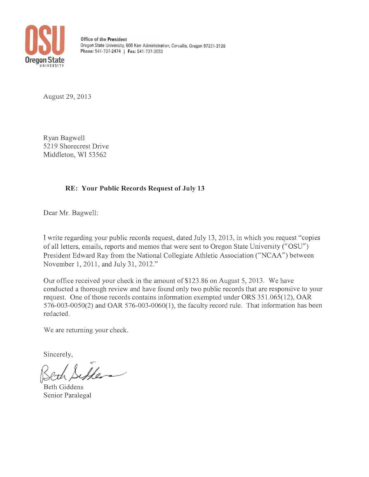

**Office of the President**  Oregon State University, 600 Kerr Administration, Corvallis, Oregon 97331 -2128 **Phone:** 541 -737-2474 I **Fax:** 541 ·737-3033

August 29,2013

Ryan Bagwell 5219 Shorecrest Drive Middleton, WI 53562

# **RE: Your Public Records Request of July 13**

Dear Mr. Bagwell:

I write regarding your public records request, dated July 13, 2013, in which you request "copies of all letters, emails, reports and memos that were sent to Oregon State University (" *OSU")*  President Edward Ray from the National Collegiate Athletic Association ("NCAA") between November 1, 2011, and July 31, 2012."

Our office received your check in the amount of \$123.86 on August 5, 2013. We have conducted a thorough review and have found only two public records that are responsive to your request. One of those records contains information exempted under ORS 351.065(12), OAR 576-003-0050(2) and OAR 576-003-0060(1), the faculty record rule. That information has been redacted.

We are returning your check.

Sincerely,

Seth Siffen

Senior Paralegal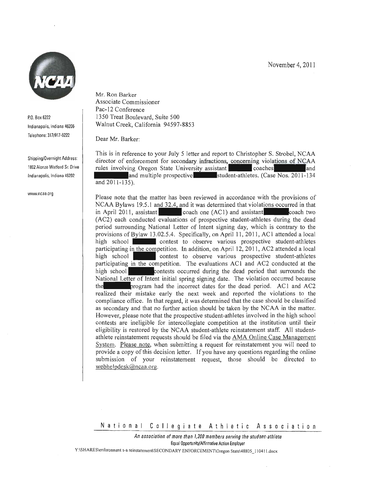November 4, 2011



p.o. Box 6222 Indianapolis, Indiana 46206 Telephone: 317/917·6222

Shipping/Overnight Address: 1802 Alonzo Watford Sr. Drive Indianapolis, Indiana 46202

www.ncaa.org

Mr. Ron Barker Associate Commissioner Pac-12 Conference 1350 Treat Boulevard, Suite 500 Walnut Creek, California 94597-8853

Dear Mr. Barker:

This is in reference to your July 5 letter and report to Christopher S. Strobel, NCAA director of enforcement for secondary infractions, concerning violations of NCAA rules involving Oregon State University assistant coaches and coaches and **and multiple prospective student-athletes. (Case Nos. 2011-134**) and 2011-135).

Please note that the matter has been reviewed in accordance with the provisions of  $NCAA$  Bylaws 19.5.1 and 32.4, and it was determined that violations occurred in that in April 2011, assistant  $\qquad \qquad \text{coach one (AC1) and assistant}$  coach two (AC2) each conducted evaluations of prospective student-athletes during the dead period surrounding National Letter of Intent signing day, which is contrary to the provisions of Bylaw 13.02.5.4. Specifically, on April 11, 2011, ACI attended a local high school **contest** to observe various prospective student-athletes participating in the competition. In addition, on April 12, 2011, AC2 attended a local high school **contest** to observe various prospective student-athletes participating in the competition. The evaluations AC1 and AC2 conducted at the high school **contests** occurred during the dead period that surrounds the National Letter of Intent initial spring signing date. The violation occurred because the state or program had the incorrect dates for the dead period. AC1 and AC2 realized their mistake early the next week and reported the violations to the compliance office. In that regard, it was determined that the case should be classified as secondary and that no further action should be taken by the NCAA in the matter. However, please note that the prospective student-athletes involved in the high school contests are ineligible for intercollegiate competition at the institution until their eligibility is restored by the NCAA student-athlete reinstatement staff. All studentathlete reinstatement requests should be filed via the AMA Online Case Management System. Please note, when submitting a request for reinstatement you will need to provide a copy of this decision letter. If you have any questions regarding the online submission of your reinstatement request, those should be directed to webhelpdesk@ncaa.org.

National Collegiate Athletic Assoc ation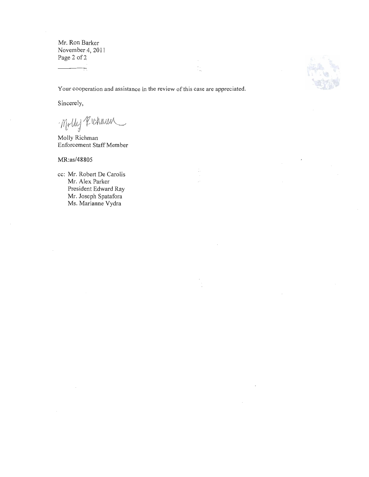Mr. Ron Barker November 4, 2011 Page 2 of 2

Your cooperation and assistance in the review of this case are appreciated.

÷

Sincerely,

 $\neg$ Molly Kichmun

Molly Richman Enforcement Staff Member

#### MR:as/48805

cc: Mr. Robert De Carolis Mr. Alex Parker President Edward Ray Mr. Joseph Spatafora Ms. Marianne Vydra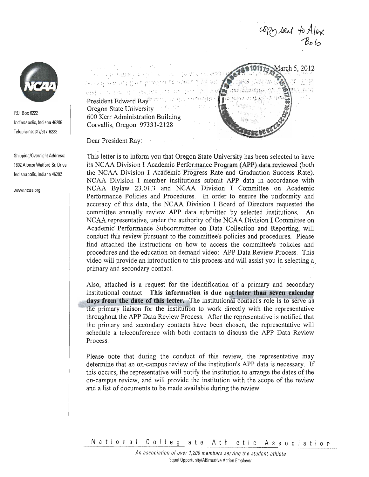

p.o. Box 6222 Indianapolis, Indiana 46206 Telephone: 317/917-6222

Shipping/Overnight Address: 1802 Alonzo Watford Sr.Drive Indianapolis, Indiana 46202

www.ncaa.org

'I : ' .. " / ; , " '( <sup>r</sup> " I . ', Teachers with the controlled of , . • ~ : .' I . :. ,., President Edward Ray: 1002, 10. 607 - 1990/1991 Oregon State University 600 Kerr Administration Building Corvallis, Oregon 97331-2128



opy sent to Alex

Dear President Ray:

This letter is to inform you that Oregon State University has been selected to have its NCAA Division I Academic Performance Program (APP) data reviewed (both the NCAA Division I Academic Progress Rate and Graduation Success Rate). NCAA Division I member institutions submit APP data in accordance with NCAA Bylaw 23.01.3 and NCAA Division I Committee on Academic Performance Policies and Procedures. In order to ensure the uniformity and accuracy of this data, the NCAA Division I Board of Directors requested the committee annually review APP data submitted by selected institutions. An NCAA representative, under the authority of the NCAA Division I Committee on Academic Performance Subcommittee on Data Collection and Reporting, will conduct this-review pursuant to the committee's policies and procedures. Please find attached the instructions on how to access the committee's policies and procedures and the education on demand video: APP Data Review Process. This video will provide an introduction to this process and will assist you in selecting a primary and secondary contact.

Also, attached is a request for the identification of a primary and secondary institutional contact. This information is due not later than seven calendar days from the date of this letter. The institutional contact's role is to serve as : the primary liaison for the institution to work directly with the representative throughout the APP Data Review Process. After the representative is notified that the primary and secondary contacts have been chosen, the representative will schedule a teleconference with both contacts to discuss the APP Data Review Process.

Please note that during the conduct of this review, the representative may determine that an on-campus review of the institution's APP data is necessary. If this occurs, the representative will notify the institution to arrange the dates of the on-campus review, and will provide the institution with the scope of the review and a list of documents to be made available during the review.

National Collegiate Athletic Association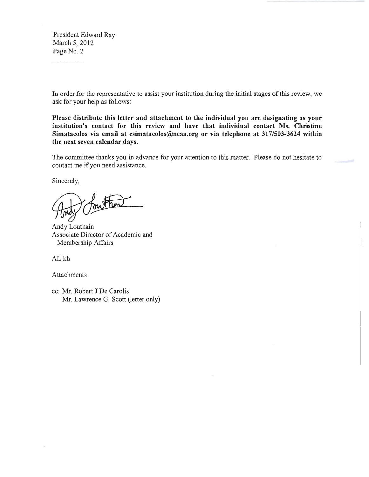President Edward Ray March 5, 2012 Page No. 2

In order for the representative to assist your institution during the initial stages of this review, we ask for your help as follows:

Please distribute this letter and attachment to the individual you are designating as your institution's contact for this review and have that individual contact Ms. Christine Simatacolos via email at csimatacolos@ncaa.org or via telephone at 317/503-3624 within the next seven calendar days.

The committee thanks you in advance for your attention to this matter. Please do not hesitate to contact me ifyou need assistance.

Sincerely,

Andy Louthain Associate Director of Academic and Membership Affairs

AL:kh

Attachments

cc: Mr. Robert J De Carolis Mr. Lawrence G. Scott (letter only)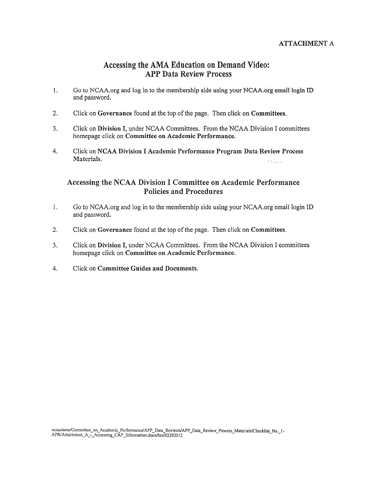# Accessing the AMA Education on Demand Video: APP Data Review Process

- 1. Go to NCAA.org and log in to the membership side using your NCAA.org email login ID and password.
- 2. Click on Governance found at the top of the page. Then click on Committees.
- 3. Click on Division I, under NCAA Committees. From the NCAA Division I committees homepage click on Committee on Academic Performance.
- 4. Click on NCAA Division I Academic Performance Program Data Review Process Materials.

# Accessing the NCAA Division I Committee on Academic Performance Policies and Procedures

- 1. Go to NCAA.org and log in to the membership side using your NCAA.org email login ID and password.
- 2. Click on Governance found at the top of the page. Then click on Committees.
- 3. Click on Division I, under NCAA Committees. From the NCAA Division I committees homepage click on Committee on Academic Performance.
- 4. Click on Committee Guides and Documents.

msaa/ama/Committec\_on\_Academic\_Performance/APP\_Data\_Reviews/APP\_Data\_Review\_Process\_Materials/Checklist\_No.\_1-<br>APR/Attachment\_A\_-\_Accessing\_CAP\_Information.doex/hrc/02292012